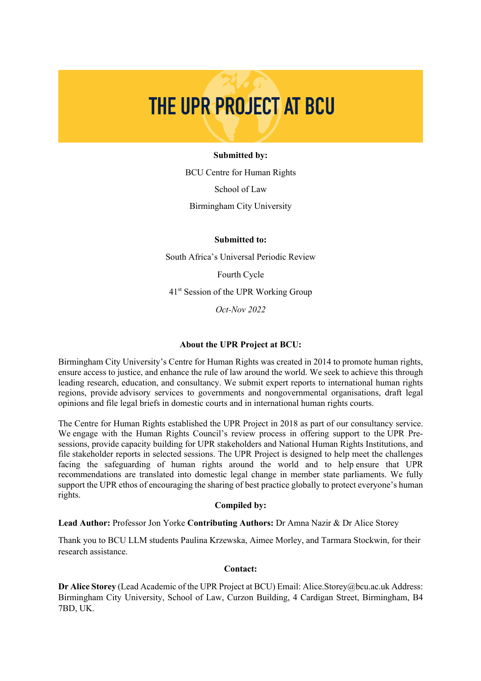# THE UPR PROJECT AT BCU

#### **Submitted by:**

BCU Centre for Human Rights School of Law Birmingham City University

**Submitted to:**

South Africa's Universal Periodic Review

Fourth Cycle

41st Session of the UPR Working Group

*Oct-Nov 2022*

#### **About the UPR Project at BCU:**

Birmingham City University's Centre for Human Rights was created in 2014 to promote human rights, ensure access to justice, and enhance the rule of law around the world. We seek to achieve this through leading research, education, and consultancy. We submit expert reports to international human rights regions, provide advisory services to governments and nongovernmental organisations, draft legal opinions and file legal briefs in domestic courts and in international human rights courts.

The Centre for Human Rights established the UPR Project in 2018 as part of our consultancy service. We engage with the Human Rights Council's review process in offering support to the UPR Presessions, provide capacity building for UPR stakeholders and National Human Rights Institutions, and file stakeholder reports in selected sessions. The UPR Project is designed to help meet the challenges facing the safeguarding of human rights around the world and to help ensure that UPR recommendations are translated into domestic legal change in member state parliaments. We fully support the UPR ethos of encouraging the sharing of best practice globally to protect everyone's human rights.

#### **Compiled by:**

#### **Lead Author:** Professor Jon Yorke **Contributing Authors:** Dr Amna Nazir & Dr Alice Storey

Thank you to BCU LLM students Paulina Krzewska, Aimee Morley, and Tarmara Stockwin, for their research assistance.

#### **Contact:**

**Dr Alice Storey** (Lead Academic of the UPR Project at BCU) Email: Alice.Storey@bcu.ac.uk Address: Birmingham City University, School of Law, Curzon Building, 4 Cardigan Street, Birmingham, B4 7BD, UK.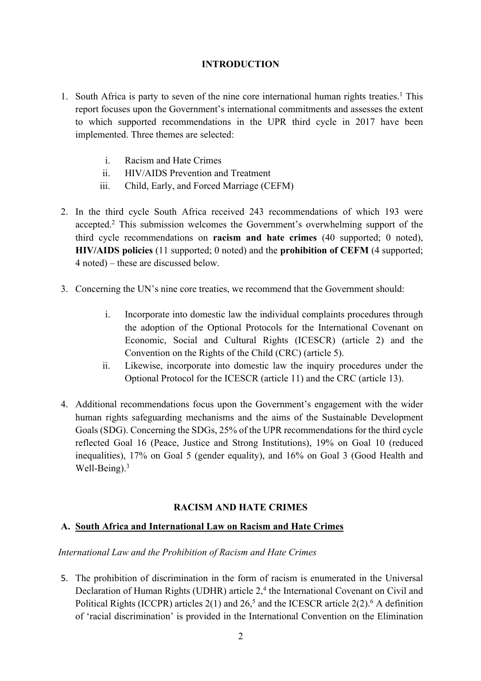# **INTRODUCTION**

- 1. South Africa is party to seven of the nine core international human rights treaties.<sup>1</sup> This report focuses upon the Government's international commitments and assesses the extent to which supported recommendations in the UPR third cycle in 2017 have been implemented. Three themes are selected:
	- i. Racism and Hate Crimes
	- ii. HIV/AIDS Prevention and Treatment
	- iii. Child, Early, and Forced Marriage (CEFM)
- 2. In the third cycle South Africa received 243 recommendations of which 193 were accepted.2 This submission welcomes the Government's overwhelming support of the third cycle recommendations on **racism and hate crimes** (40 supported; 0 noted), **HIV/AIDS policies** (11 supported; 0 noted) and the **prohibition of CEFM** (4 supported; 4 noted) – these are discussed below.
- 3. Concerning the UN's nine core treaties, we recommend that the Government should:
	- i. Incorporate into domestic law the individual complaints procedures through the adoption of the Optional Protocols for the International Covenant on Economic, Social and Cultural Rights (ICESCR) (article 2) and the Convention on the Rights of the Child (CRC) (article 5).
	- ii. Likewise, incorporate into domestic law the inquiry procedures under the Optional Protocol for the ICESCR (article 11) and the CRC (article 13).
- 4. Additional recommendations focus upon the Government's engagement with the wider human rights safeguarding mechanisms and the aims of the Sustainable Development Goals (SDG). Concerning the SDGs, 25% of the UPR recommendations for the third cycle reflected Goal 16 (Peace, Justice and Strong Institutions), 19% on Goal 10 (reduced inequalities), 17% on Goal 5 (gender equality), and 16% on Goal 3 (Good Health and Well-Being).<sup>3</sup>

#### **RACISM AND HATE CRIMES**

#### **A. South Africa and International Law on Racism and Hate Crimes**

#### *International Law and the Prohibition of Racism and Hate Crimes*

5. The prohibition of discrimination in the form of racism is enumerated in the Universal Declaration of Human Rights (UDHR) article 2,<sup>4</sup> the International Covenant on Civil and Political Rights (ICCPR) articles  $2(1)$  and  $26<sup>5</sup>$  and the ICESCR article  $2(2)<sup>6</sup>$  A definition of 'racial discrimination' is provided in the International Convention on the Elimination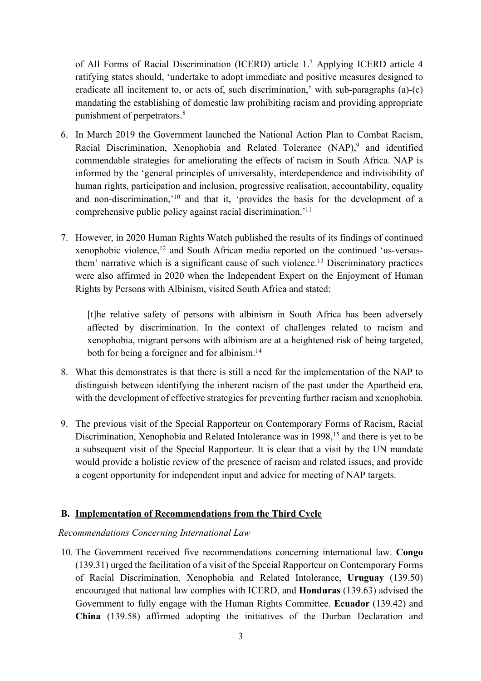of All Forms of Racial Discrimination (ICERD) article 1.7 Applying ICERD article 4 ratifying states should, 'undertake to adopt immediate and positive measures designed to eradicate all incitement to, or acts of, such discrimination,' with sub-paragraphs (a)-(c) mandating the establishing of domestic law prohibiting racism and providing appropriate punishment of perpetrators.8

- 6. In March 2019 the Government launched the National Action Plan to Combat Racism, Racial Discrimination, Xenophobia and Related Tolerance (NAP),<sup>9</sup> and identified commendable strategies for ameliorating the effects of racism in South Africa. NAP is informed by the 'general principles of universality, interdependence and indivisibility of human rights, participation and inclusion, progressive realisation, accountability, equality and non-discrimination,' <sup>10</sup> and that it, 'provides the basis for the development of a comprehensive public policy against racial discrimination.'11
- 7. However, in 2020 Human Rights Watch published the results of its findings of continued xenophobic violence, <sup>12</sup> and South African media reported on the continued 'us-versusthem' narrative which is a significant cause of such violence.<sup>13</sup> Discriminatory practices were also affirmed in 2020 when the Independent Expert on the Enjoyment of Human Rights by Persons with Albinism, visited South Africa and stated:

[t]he relative safety of persons with albinism in South Africa has been adversely affected by discrimination. In the context of challenges related to racism and xenophobia, migrant persons with albinism are at a heightened risk of being targeted, both for being a foreigner and for albinism.14

- 8. What this demonstrates is that there is still a need for the implementation of the NAP to distinguish between identifying the inherent racism of the past under the Apartheid era, with the development of effective strategies for preventing further racism and xenophobia.
- 9. The previous visit of the Special Rapporteur on Contemporary Forms of Racism, Racial Discrimination, Xenophobia and Related Intolerance was in 1998,<sup>15</sup> and there is yet to be a subsequent visit of the Special Rapporteur. It is clear that a visit by the UN mandate would provide a holistic review of the presence of racism and related issues, and provide a cogent opportunity for independent input and advice for meeting of NAP targets.

# **B. Implementation of Recommendations from the Third Cycle**

# *Recommendations Concerning International Law*

10. The Government received five recommendations concerning international law. **Congo** (139.31) urged the facilitation of a visit of the Special Rapporteur on Contemporary Forms of Racial Discrimination, Xenophobia and Related Intolerance, **Uruguay** (139.50) encouraged that national law complies with ICERD, and **Honduras** (139.63) advised the Government to fully engage with the Human Rights Committee. **Ecuador** (139.42) and **China** (139.58) affirmed adopting the initiatives of the Durban Declaration and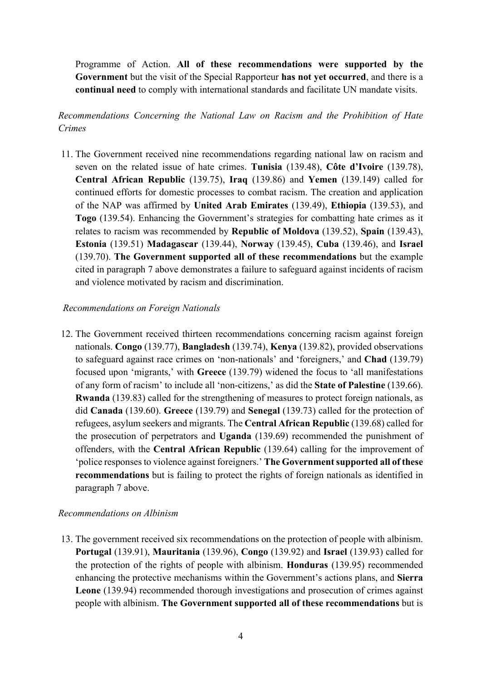Programme of Action. **All of these recommendations were supported by the Government** but the visit of the Special Rapporteur **has not yet occurred**, and there is a **continual need** to comply with international standards and facilitate UN mandate visits.

*Recommendations Concerning the National Law on Racism and the Prohibition of Hate Crimes* 

11. The Government received nine recommendations regarding national law on racism and seven on the related issue of hate crimes. **Tunisia** (139.48), **Côte d'Ivoire** (139.78), **Central African Republic** (139.75), **Iraq** (139.86) and **Yemen** (139.149) called for continued efforts for domestic processes to combat racism. The creation and application of the NAP was affirmed by **United Arab Emirates** (139.49), **Ethiopia** (139.53), and **Togo** (139.54). Enhancing the Government's strategies for combatting hate crimes as it relates to racism was recommended by **Republic of Moldova** (139.52), **Spain** (139.43), **Estonia** (139.51) **Madagascar** (139.44), **Norway** (139.45), **Cuba** (139.46), and **Israel** (139.70). **The Government supported all of these recommendations** but the example cited in paragraph 7 above demonstrates a failure to safeguard against incidents of racism and violence motivated by racism and discrimination.

## *Recommendations on Foreign Nationals*

12. The Government received thirteen recommendations concerning racism against foreign nationals. **Congo** (139.77), **Bangladesh** (139.74), **Kenya** (139.82), provided observations to safeguard against race crimes on 'non-nationals' and 'foreigners,' and **Chad** (139.79) focused upon 'migrants,' with **Greece** (139.79) widened the focus to 'all manifestations of any form of racism' to include all 'non-citizens,' as did the **State of Palestine** (139.66). **Rwanda** (139.83) called for the strengthening of measures to protect foreign nationals, as did **Canada** (139.60). **Greece** (139.79) and **Senegal** (139.73) called for the protection of refugees, asylum seekers and migrants. The **Central African Republic** (139.68) called for the prosecution of perpetrators and **Uganda** (139.69) recommended the punishment of offenders, with the **Central African Republic** (139.64) calling for the improvement of 'police responses to violence against foreigners.' **The Government supported all of these recommendations** but is failing to protect the rights of foreign nationals as identified in paragraph 7 above.

#### *Recommendations on Albinism*

13. The government received six recommendations on the protection of people with albinism. **Portugal** (139.91), **Mauritania** (139.96), **Congo** (139.92) and **Israel** (139.93) called for the protection of the rights of people with albinism. **Honduras** (139.95) recommended enhancing the protective mechanisms within the Government's actions plans, and **Sierra Leone** (139.94) recommended thorough investigations and prosecution of crimes against people with albinism. **The Government supported all of these recommendations** but is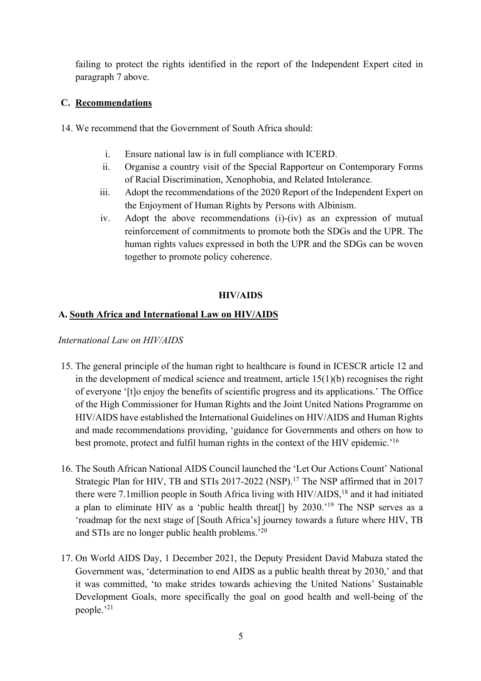failing to protect the rights identified in the report of the Independent Expert cited in paragraph 7 above.

# **C. Recommendations**

- 14. We recommend that the Government of South Africa should:
	- i. Ensure national law is in full compliance with ICERD.
	- ii. Organise a country visit of the Special Rapporteur on Contemporary Forms of Racial Discrimination, Xenophobia, and Related Intolerance.
	- iii. Adopt the recommendations of the 2020 Report of the Independent Expert on the Enjoyment of Human Rights by Persons with Albinism.
	- iv. Adopt the above recommendations (i)-(iv) as an expression of mutual reinforcement of commitments to promote both the SDGs and the UPR. The human rights values expressed in both the UPR and the SDGs can be woven together to promote policy coherence.

# **HIV/AIDS**

# **A. South Africa and International Law on HIV/AIDS**

# *International Law on HIV/AIDS*

- 15. The general principle of the human right to healthcare is found in ICESCR article 12 and in the development of medical science and treatment, article  $15(1)(b)$  recognises the right of everyone '[t]o enjoy the benefits of scientific progress and its applications.' The Office of the High Commissioner for Human Rights and the Joint United Nations Programme on HIV/AIDS have established the International Guidelines on HIV/AIDS and Human Rights and made recommendations providing, 'guidance for Governments and others on how to best promote, protect and fulfil human rights in the context of the HIV epidemic.' 16
- 16. The South African National AIDS Council launched the 'Let Our Actions Count' National Strategic Plan for HIV, TB and STIs 2017-2022 (NSP).<sup>17</sup> The NSP affirmed that in 2017 there were 7.1 million people in South Africa living with HIV/AIDS,<sup>18</sup> and it had initiated a plan to eliminate HIV as a 'public health threat[] by 2030.'19 The NSP serves as a 'roadmap for the next stage of [South Africa's] journey towards a future where HIV, TB and STIs are no longer public health problems.'20
- 17. On World AIDS Day, 1 December 2021, the Deputy President David Mabuza stated the Government was, 'determination to end AIDS as a public health threat by 2030,' and that it was committed, 'to make strides towards achieving the United Nations' Sustainable Development Goals, more specifically the goal on good health and well-being of the people.' 21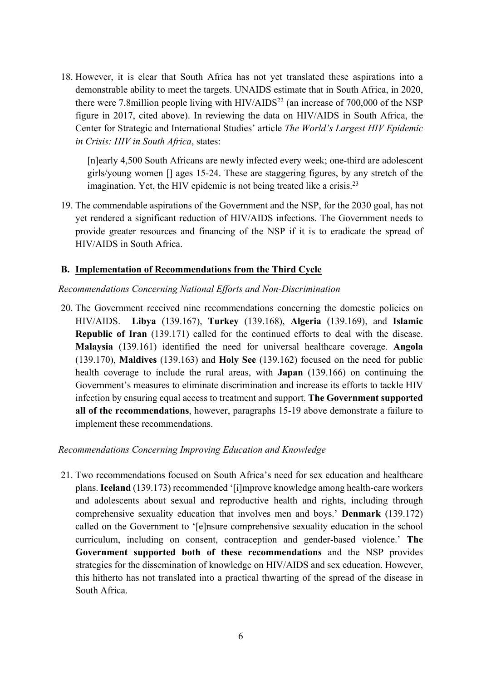18. However, it is clear that South Africa has not yet translated these aspirations into a demonstrable ability to meet the targets. UNAIDS estimate that in South Africa, in 2020, there were 7.8 million people living with  $HIV/AIDS<sup>22</sup>$  (an increase of 700,000 of the NSP figure in 2017, cited above). In reviewing the data on HIV/AIDS in South Africa, the Center for Strategic and International Studies' article *The World's Largest HIV Epidemic in Crisis: HIV in South Africa*, states:

[n]early 4,500 South Africans are newly infected every week; one-third are adolescent girls/young women [] ages 15-24. These are staggering figures, by any stretch of the imagination. Yet, the HIV epidemic is not being treated like a crisis.<sup>23</sup>

19. The commendable aspirations of the Government and the NSP, for the 2030 goal, has not yet rendered a significant reduction of HIV/AIDS infections. The Government needs to provide greater resources and financing of the NSP if it is to eradicate the spread of HIV/AIDS in South Africa.

## **B. Implementation of Recommendations from the Third Cycle**

## *Recommendations Concerning National Efforts and Non-Discrimination*

20. The Government received nine recommendations concerning the domestic policies on HIV/AIDS. **Libya** (139.167), **Turkey** (139.168), **Algeria** (139.169), and **Islamic Republic of Iran** (139.171) called for the continued efforts to deal with the disease. **Malaysia** (139.161) identified the need for universal healthcare coverage. **Angola** (139.170), **Maldives** (139.163) and **Holy See** (139.162) focused on the need for public health coverage to include the rural areas, with **Japan** (139.166) on continuing the Government's measures to eliminate discrimination and increase its efforts to tackle HIV infection by ensuring equal access to treatment and support. **The Government supported all of the recommendations**, however, paragraphs 15-19 above demonstrate a failure to implement these recommendations.

#### *Recommendations Concerning Improving Education and Knowledge*

21. Two recommendations focused on South Africa's need for sex education and healthcare plans. **Iceland** (139.173) recommended '[i]mprove knowledge among health-care workers and adolescents about sexual and reproductive health and rights, including through comprehensive sexuality education that involves men and boys.' **Denmark** (139.172) called on the Government to '[e]nsure comprehensive sexuality education in the school curriculum, including on consent, contraception and gender-based violence.' **The Government supported both of these recommendations** and the NSP provides strategies for the dissemination of knowledge on HIV/AIDS and sex education. However, this hitherto has not translated into a practical thwarting of the spread of the disease in South Africa.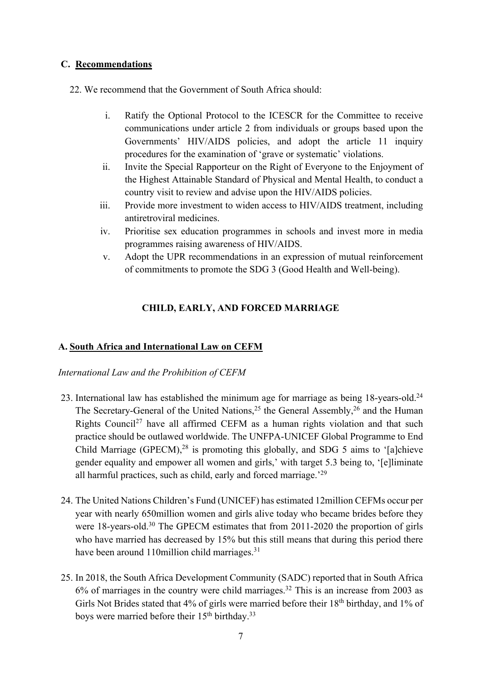# **C. Recommendations**

- 22. We recommend that the Government of South Africa should:
	- i. Ratify the Optional Protocol to the ICESCR for the Committee to receive communications under article 2 from individuals or groups based upon the Governments' HIV/AIDS policies, and adopt the article 11 inquiry procedures for the examination of 'grave or systematic' violations.
	- ii. Invite the Special Rapporteur on the Right of Everyone to the Enjoyment of the Highest Attainable Standard of Physical and Mental Health, to conduct a country visit to review and advise upon the HIV/AIDS policies.
	- iii. Provide more investment to widen access to HIV/AIDS treatment, including antiretroviral medicines.
	- iv. Prioritise sex education programmes in schools and invest more in media programmes raising awareness of HIV/AIDS.
	- v. Adopt the UPR recommendations in an expression of mutual reinforcement of commitments to promote the SDG 3 (Good Health and Well-being).

# **CHILD, EARLY, AND FORCED MARRIAGE**

# **A. South Africa and International Law on CEFM**

*International Law and the Prohibition of CEFM*

- 23. International law has established the minimum age for marriage as being 18-years-old.<sup>24</sup> The Secretary-General of the United Nations,  $2^5$  the General Assembly,  $2^6$  and the Human Rights Council<sup>27</sup> have all affirmed CEFM as a human rights violation and that such practice should be outlawed worldwide. The UNFPA-UNICEF Global Programme to End Child Marriage (GPECM),<sup>28</sup> is promoting this globally, and SDG 5 aims to '[a]chieve gender equality and empower all women and girls,' with target 5.3 being to, '[e]liminate all harmful practices, such as child, early and forced marriage.'29
- 24. The United Nations Children's Fund (UNICEF) has estimated 12million CEFMs occur per year with nearly 650million women and girls alive today who became brides before they were 18-years-old.<sup>30</sup> The GPECM estimates that from 2011-2020 the proportion of girls who have married has decreased by 15% but this still means that during this period there have been around 110million child marriages.<sup>31</sup>
- 25. In 2018, the South Africa Development Community (SADC) reported that in South Africa  $6\%$  of marriages in the country were child marriages.<sup>32</sup> This is an increase from 2003 as Girls Not Brides stated that 4% of girls were married before their 18<sup>th</sup> birthday, and 1% of boys were married before their 15<sup>th</sup> birthday.<sup>33</sup>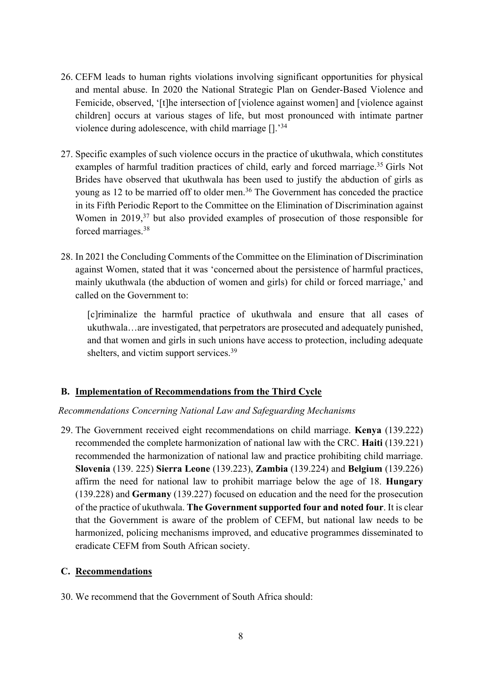- 26. CEFM leads to human rights violations involving significant opportunities for physical and mental abuse. In 2020 the National Strategic Plan on Gender-Based Violence and Femicide, observed, '[t]he intersection of [violence against women] and [violence against children] occurs at various stages of life, but most pronounced with intimate partner violence during adolescence, with child marriage [].'34
- 27. Specific examples of such violence occurs in the practice of ukuthwala, which constitutes examples of harmful tradition practices of child, early and forced marriage.<sup>35</sup> Girls Not Brides have observed that ukuthwala has been used to justify the abduction of girls as young as 12 to be married off to older men.<sup>36</sup> The Government has conceded the practice in its Fifth Periodic Report to the Committee on the Elimination of Discrimination against Women in 2019,<sup>37</sup> but also provided examples of prosecution of those responsible for forced marriages. 38
- 28. In 2021 the Concluding Comments of the Committee on the Elimination of Discrimination against Women, stated that it was 'concerned about the persistence of harmful practices, mainly ukuthwala (the abduction of women and girls) for child or forced marriage,' and called on the Government to:

[c]riminalize the harmful practice of ukuthwala and ensure that all cases of ukuthwala…are investigated, that perpetrators are prosecuted and adequately punished, and that women and girls in such unions have access to protection, including adequate shelters, and victim support services.<sup>39</sup>

# **B. Implementation of Recommendations from the Third Cycle**

# *Recommendations Concerning National Law and Safeguarding Mechanisms*

29. The Government received eight recommendations on child marriage. **Kenya** (139.222) recommended the complete harmonization of national law with the CRC. **Haiti** (139.221) recommended the harmonization of national law and practice prohibiting child marriage. **Slovenia** (139. 225) **Sierra Leone** (139.223), **Zambia** (139.224) and **Belgium** (139.226) affirm the need for national law to prohibit marriage below the age of 18. **Hungary** (139.228) and **Germany** (139.227) focused on education and the need for the prosecution of the practice of ukuthwala. **The Government supported four and noted four**. It is clear that the Government is aware of the problem of CEFM, but national law needs to be harmonized, policing mechanisms improved, and educative programmes disseminated to eradicate CEFM from South African society.

#### **C. Recommendations**

30. We recommend that the Government of South Africa should: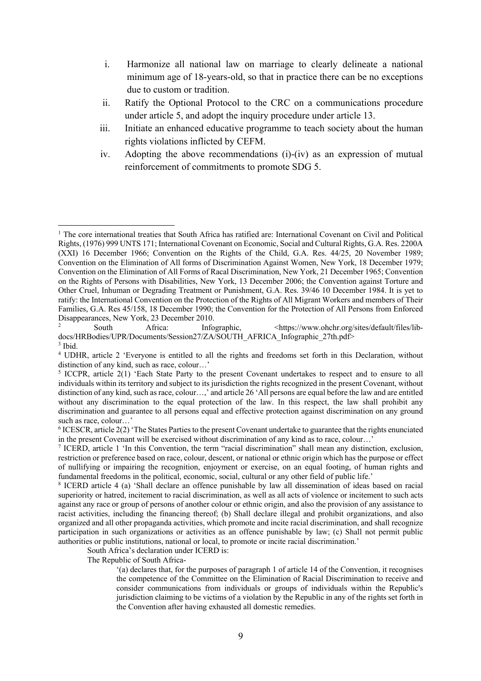- i. Harmonize all national law on marriage to clearly delineate a national minimum age of 18-years-old, so that in practice there can be no exceptions due to custom or tradition.
- ii. Ratify the Optional Protocol to the CRC on a communications procedure under article 5, and adopt the inquiry procedure under article 13.
- iii. Initiate an enhanced educative programme to teach society about the human rights violations inflicted by CEFM.
- iv. Adopting the above recommendations (i)-(iv) as an expression of mutual reinforcement of commitments to promote SDG 5.

docs/HRBodies/UPR/Documents/Session27/ZA/SOUTH\_AFRICA\_Infographic\_27th.pdf>

South Africa's declaration under ICERD is:

The Republic of South Africa-

'(a) declares that, for the purposes of paragraph 1 of article 14 of the Convention, it recognises the competence of the Committee on the Elimination of Racial Discrimination to receive and consider communications from individuals or groups of individuals within the Republic's jurisdiction claiming to be victims of a violation by the Republic in any of the rights set forth in the Convention after having exhausted all domestic remedies.

<sup>&</sup>lt;sup>1</sup> The core international treaties that South Africa has ratified are: International Covenant on Civil and Political Rights, (1976) 999 UNTS 171; International Covenant on Economic, Social and Cultural Rights, G.A. Res. 2200A (XXI) 16 December 1966; Convention on the Rights of the Child, G.A. Res. 44/25, 20 November 1989; Convention on the Elimination of All forms of Discrimination Against Women, New York, 18 December 1979; Convention on the Elimination of All Forms of Racal Discrimination, New York, 21 December 1965; Convention on the Rights of Persons with Disabilities, New York, 13 December 2006; the Convention against Torture and Other Cruel, Inhuman or Degrading Treatment or Punishment, G.A. Res. 39/46 10 December 1984. It is yet to ratify: the International Convention on the Protection of the Rights of All Migrant Workers and members of Their Families, G.A. Res 45/158, 18 December 1990; the Convention for the Protection of All Persons from Enforced Disappearances, New York, 23 December 2010.<br>
2 South Africa: Infographic, <https://www.ohchr.org/sites/default/files/lib-

 $3$  Ibid.

<sup>4</sup> UDHR, article 2 'Everyone is entitled to all the rights and freedoms set forth in this Declaration, without distinction of any kind, such as race, colour…'

<sup>5</sup> ICCPR, article 2(1) 'Each State Party to the present Covenant undertakes to respect and to ensure to all individuals within its territory and subject to its jurisdiction the rights recognized in the present Covenant, without distinction of any kind, such as race, colour…,' and article 26 'All persons are equal before the law and are entitled without any discrimination to the equal protection of the law. In this respect, the law shall prohibit any discrimination and guarantee to all persons equal and effective protection against discrimination on any ground such as race, colour…'

<sup>6</sup> ICESCR, article 2(2) 'The States Parties to the present Covenant undertake to guarantee that the rights enunciated in the present Covenant will be exercised without discrimination of any kind as to race, colour…'

<sup>7</sup> ICERD, article 1 'In this Convention, the term "racial discrimination" shall mean any distinction, exclusion, restriction or preference based on race, colour, descent, or national or ethnic origin which has the purpose or effect of nullifying or impairing the recognition, enjoyment or exercise, on an equal footing, of human rights and fundamental freedoms in the political, economic, social, cultural or any other field of public life.'

<sup>8</sup> ICERD article 4 (a) 'Shall declare an offence punishable by law all dissemination of ideas based on racial superiority or hatred, incitement to racial discrimination, as well as all acts of violence or incitement to such acts against any race or group of persons of another colour or ethnic origin, and also the provision of any assistance to racist activities, including the financing thereof; (b) Shall declare illegal and prohibit organizations, and also organized and all other propaganda activities, which promote and incite racial discrimination, and shall recognize participation in such organizations or activities as an offence punishable by law; (c) Shall not permit public authorities or public institutions, national or local, to promote or incite racial discrimination.'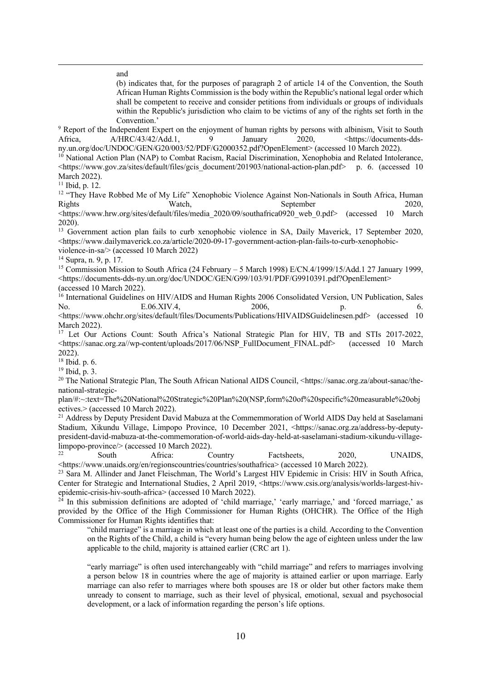and

(b) indicates that, for the purposes of paragraph 2 of article 14 of the Convention, the South African Human Rights Commission is the body within the Republic's national legal order which shall be competent to receive and consider petitions from individuals or groups of individuals within the Republic's jurisdiction who claim to be victims of any of the rights set forth in the Convention.'

<sup>9</sup> Report of the Independent Expert on the enjoyment of human rights by persons with albinism, Visit to South Africa,  $A/HRC/43/42/Add.1$ , 9 January 2020, <https://documents-ddsny.un.org/doc/UNDOC/GEN/G20/003/52/PDF/G2000352.pdf?OpenElement> (accessed 10 March 2022).

<sup>10</sup> National Action Plan (NAP) to Combat Racism, Racial Discrimination, Xenophobia and Related Intolerance,  $\lt$ https://www.gov.za/sites/default/files/gcis\_document/201903/national-action-plan.pdf> p. 6. (accessed 10 March 2022).

 $11$  Ibid, p. 12.

<sup>12</sup> "They Have Robbed Me of My Life" Xenophobic Violence Against Non-Nationals in South Africa, Human Rights **Example 2020**, September 2020,

<https://www.hrw.org/sites/default/files/media\_2020/09/southafrica0920\_web\_0.pdf> (accessed 10 March 2020).

<sup>13</sup> Government action plan fails to curb xenophobic violence in SA, Daily Maverick, 17 September 2020, <https://www.dailymaverick.co.za/article/2020-09-17-government-action-plan-fails-to-curb-xenophobicviolence-in-sa/> (accessed 10 March 2022)

<sup>14</sup> Supra, n. 9, p. 17.<br><sup>15</sup> Commission Mission to South Africa (24 February – 5 March 1998) E/CN.4/1999/15/Add.1 27 January 1999, <https://documents-dds-ny.un.org/doc/UNDOC/GEN/G99/103/91/PDF/G9910391.pdf?OpenElement> (accessed 10 March 2022).

<sup>16</sup> International Guidelines on HIV/AIDS and Human Rights 2006 Consolidated Version, UN Publication, Sales No. 6. E.06.XIV.4, 2006, p. 6.

<https://www.ohchr.org/sites/default/files/Documents/Publications/HIVAIDSGuidelinesen.pdf> (accessed 10 March 2022).

<sup>17</sup> Let Our Actions Count: South Africa's National Strategic Plan for HIV, TB and STIs 2017-2022, <https://sanac.org.za//wp-content/uploads/2017/06/NSP\_FullDocument\_FINAL.pdf> (accessed 10 March 2022).<br> $18$  Ibid. p. 6.

<sup>19</sup> Ibid, p. 3.<br><sup>20</sup> The National Strategic Plan, The South African National AIDS Council, <https://sanac.org.za/about-sanac/thenational-strategic-

plan/#:~:text=The%20National%20Strategic%20Plan%20(NSP,form%20of%20specific%20measurable%20obj ectives.> (accessed 10 March 2022).

<sup>21</sup> Address by Deputy President David Mabuza at the Commemmoration of World AIDS Day held at Saselamani Stadium, Xikundu Village, Limpopo Province, 10 December 2021, <https://sanac.org.za/address-by-deputypresident-david-mabuza-at-the-commemoration-of-world-aids-day-held-at-saselamani-stadium-xikundu-village-

limpopo-province/> (accessed 10 March 2022).<br>
22 South Africa: Country Factsheets, 2020, UNAIDS, <https://www.unaids.org/en/regionscountries/countries/southafrica> (accessed 10 March 2022).

<sup>23</sup> Sara M. Allinder and Janet Fleischman, The World's Largest HIV Epidemic in Crisis: HIV in South Africa, Center for Strategic and International Studies, 2 April 2019, <https://www.csis.org/analysis/worlds-largest-hiv-

epidemic-crisis-hiv-south-africa> (accessed 10 March 2022).<br><sup>24</sup> In this submission definitions are adopted of 'child marriage,' 'early marriage,' and 'forced marriage,' as provided by the Office of the High Commissioner for Human Rights (OHCHR). The Office of the High Commissioner for Human Rights identifies that:

"child marriage" is a marriage in which at least one of the parties is a child. According to the Convention on the Rights of the Child, a child is "every human being below the age of eighteen unless under the law applicable to the child, majority is attained earlier (CRC art 1).

"early marriage" is often used interchangeably with "child marriage" and refers to marriages involving a person below 18 in countries where the age of majority is attained earlier or upon marriage. Early marriage can also refer to marriages where both spouses are 18 or older but other factors make them unready to consent to marriage, such as their level of physical, emotional, sexual and psychosocial development, or a lack of information regarding the person's life options.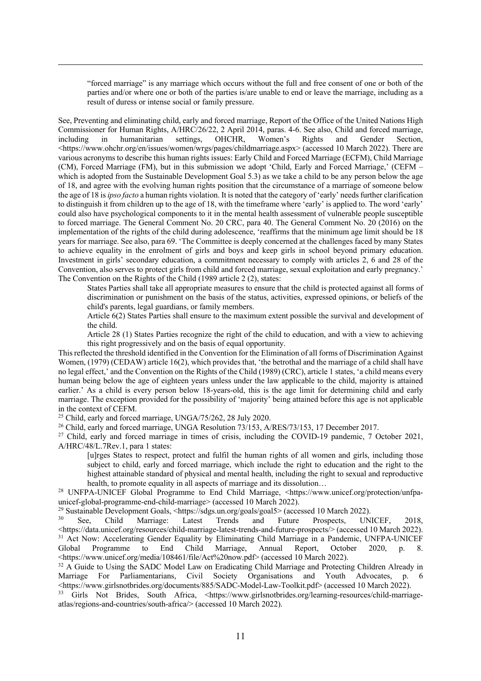"forced marriage" is any marriage which occurs without the full and free consent of one or both of the parties and/or where one or both of the parties is/are unable to end or leave the marriage, including as a result of duress or intense social or family pressure.

See, Preventing and eliminating child, early and forced marriage, Report of the Office of the United Nations High Commissioner for Human Rights, A/HRC/26/22, 2 April 2014, paras. 4-6. See also, Child and forced marriage, including in humanitarian settings, OHCHR, Women's Rights and Gender Section, <https://www.ohchr.org/en/issues/women/wrgs/pages/childmarriage.aspx> (accessed 10 March 2022). There are various acronyms to describe this human rights issues: Early Child and Forced Marriage (ECFM), Child Marriage (CM), Forced Marriage (FM), but in this submission we adopt 'Child, Early and Forced Marriage,' (CEFM – which is adopted from the Sustainable Development Goal 5.3) as we take a child to be any person below the age of 18, and agree with the evolving human rights position that the circumstance of a marriage of someone below the age of 18 is *ipso facto* a human rights violation. It is noted that the category of 'early' needs further clarification to distinguish it from children up to the age of 18, with the timeframe where 'early' is applied to. The word 'early' could also have psychological components to it in the mental health assessment of vulnerable people susceptible to forced marriage. The General Comment No. 20 CRC, para 40. The General Comment No. 20 (2016) on the implementation of the rights of the child during adolescence, 'reaffirms that the minimum age limit should be 18 years for marriage. See also, para 69. 'The Committee is deeply concerned at the challenges faced by many States to achieve equality in the enrolment of girls and boys and keep girls in school beyond primary education. Investment in girls' secondary education, a commitment necessary to comply with articles 2, 6 and 28 of the Convention, also serves to protect girls from child and forced marriage, sexual exploitation and early pregnancy.' The Convention on the Rights of the Child (1989 article 2 (2), states:

States Parties shall take all appropriate measures to ensure that the child is protected against all forms of discrimination or punishment on the basis of the status, activities, expressed opinions, or beliefs of the child's parents, legal guardians, or family members.

Article 6(2) States Parties shall ensure to the maximum extent possible the survival and development of the child.

Article 28 (1) States Parties recognize the right of the child to education, and with a view to achieving this right progressively and on the basis of equal opportunity.

This reflected the threshold identified in the Convention for the Elimination of all forms of Discrimination Against Women, (1979) (CEDAW) article 16(2), which provides that, 'the betrothal and the marriage of a child shall have no legal effect,' and the Convention on the Rights of the Child (1989) (CRC), article 1 states, 'a child means every human being below the age of eighteen years unless under the law applicable to the child, majority is attained earlier.' As a child is every person below 18-years-old, this is the age limit for determining child and early marriage. The exception provided for the possibility of 'majority' being attained before this age is not applicable in the context of CEFM.

<sup>25</sup> Child, early and forced marriage, UNGA/75/262, 28 July 2020.

<sup>26</sup> Child, early and forced marriage, UNGA Resolution 73/153, A/RES/73/153, 17 December 2017.<br><sup>27</sup> Child, early and forced marriage in times of crisis, including the COVID-19 pandemic, 7 October 2021, A/HRC/48/L.7Rev.1, para 1 states:

[u]rges States to respect, protect and fulfil the human rights of all women and girls, including those subject to child, early and forced marriage, which include the right to education and the right to the highest attainable standard of physical and mental health, including the right to sexual and reproductive health, to promote equality in all aspects of marriage and its dissolution…<br><sup>28</sup> UNFPA-UNICEF Global Programme to End Child Marriage, <https://www.unicef.org/protection/unfpa-

unicef-global-programme-end-child-marriage> (accessed 10 March 2022).<br>
<sup>29</sup> Sustainable Development Goals, <https://sdgs.un.org/goals/goal5> (accessed 10 March 2022).<br>
<sup>30</sup> See Child Marriage: Latest Trends and Euture Pros

<sup>30</sup> See, Child Marriage: Latest Trends and Future Prospects, UNICEF, 2018, <https://data.unicef.org/resources/child-marriage-latest-trends-and-future-prospects/> (accessed 10 March 2022). 31 Act Now: Accelerating Gender Equality by Eliminating Child Marriage in a Pandemic, UNFPA-UNICEF Global Programme to End Child Marriage, Annual Report, October 2020, p. 8. <https://www.unicef.org/media/108461/file/Act%20now.pdf> (accessed 10 March 2022). 32 A Guide to Using the SADC Model Law on Eradicating Child Marriage and Protecting Children Already in

Marriage For Parliamentarians, Civil Society Organisations and Youth Advocates, p. 6 <https://www.girlsnotbrides.org/documents/885/SADC-Model-Law-Toolkit.pdf> (accessed 10 March 2022).

<sup>33</sup> Girls Not Brides, South Africa, <https://www.girlsnotbrides.org/learning-resources/child-marriageatlas/regions-and-countries/south-africa/> (accessed 10 March 2022).